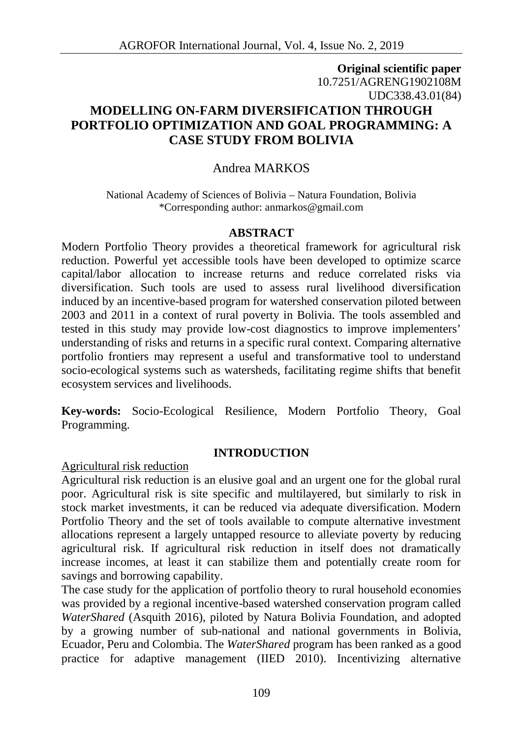# **Original scientific paper** 10.7251/AGRENG1902108M UDC338.43.01(84) **MODELLING ON-FARM DIVERSIFICATION THROUGH PORTFOLIO OPTIMIZATION AND GOAL PROGRAMMING: A CASE STUDY FROM BOLIVIA**

# Andrea MARKOS

National Academy of Sciences of Bolivia – Natura Foundation, Bolivia \*Corresponding author: anmarkos@gmail.com

### **ABSTRACT**

Modern Portfolio Theory provides a theoretical framework for agricultural risk reduction. Powerful yet accessible tools have been developed to optimize scarce capital/labor allocation to increase returns and reduce correlated risks via diversification. Such tools are used to assess rural livelihood diversification induced by an incentive-based program for watershed conservation piloted between 2003 and 2011 in a context of rural poverty in Bolivia. The tools assembled and tested in this study may provide low-cost diagnostics to improve implementers' understanding of risks and returns in a specific rural context. Comparing alternative portfolio frontiers may represent a useful and transformative tool to understand socio-ecological systems such as watersheds, facilitating regime shifts that benefit ecosystem services and livelihoods.

**Key-words:** Socio-Ecological Resilience, Modern Portfolio Theory, Goal Programming.

### **INTRODUCTION**

Agricultural risk reduction

Agricultural risk reduction is an elusive goal and an urgent one for the global rural poor. Agricultural risk is site specific and multilayered, but similarly to risk in stock market investments, it can be reduced via adequate diversification. Modern Portfolio Theory and the set of tools available to compute alternative investment allocations represent a largely untapped resource to alleviate poverty by reducing agricultural risk. If agricultural risk reduction in itself does not dramatically increase incomes, at least it can stabilize them and potentially create room for savings and borrowing capability.

The case study for the application of portfolio theory to rural household economies was provided by a regional incentive-based watershed conservation program called *WaterShared* (Asquith 2016), piloted by Natura Bolivia Foundation, and adopted by a growing number of sub-national and national governments in Bolivia, Ecuador, Peru and Colombia. The *WaterShared* program has been ranked as a good practice for adaptive management (IIED 2010). Incentivizing alternative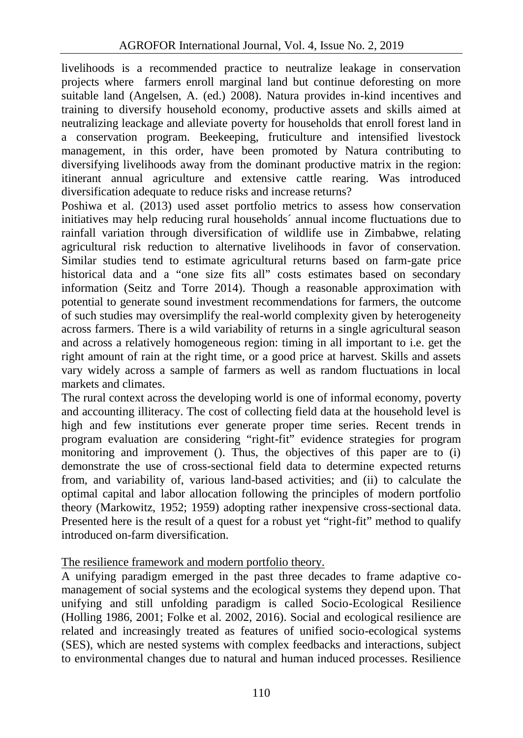livelihoods is a recommended practice to neutralize leakage in conservation projects where farmers enroll marginal land but continue deforesting on more suitable land (Angelsen, A. (ed.) 2008). Natura provides in-kind incentives and training to diversify household economy, productive assets and skills aimed at neutralizing leackage and alleviate poverty for households that enroll forest land in a conservation program. Beekeeping, fruticulture and intensified livestock management, in this order, have been promoted by Natura contributing to diversifying livelihoods away from the dominant productive matrix in the region: itinerant annual agriculture and extensive cattle rearing. Was introduced diversification adequate to reduce risks and increase returns?

Poshiwa et al. (2013) used asset portfolio metrics to assess how conservation initiatives may help reducing rural households´ annual income fluctuations due to rainfall variation through diversification of wildlife use in Zimbabwe, relating agricultural risk reduction to alternative livelihoods in favor of conservation. Similar studies tend to estimate agricultural returns based on farm-gate price historical data and a "one size fits all" costs estimates based on secondary information (Seitz and Torre 2014). Though a reasonable approximation with potential to generate sound investment recommendations for farmers, the outcome of such studies may oversimplify the real-world complexity given by heterogeneity across farmers. There is a wild variability of returns in a single agricultural season and across a relatively homogeneous region: timing in all important to i.e. get the right amount of rain at the right time, or a good price at harvest. Skills and assets vary widely across a sample of farmers as well as random fluctuations in local markets and climates.

The rural context across the developing world is one of informal economy, poverty and accounting illiteracy. The cost of collecting field data at the household level is high and few institutions ever generate proper time series. Recent trends in program evaluation are considering "right-fit" evidence strategies for program monitoring and improvement (). Thus, the objectives of this paper are to (i) demonstrate the use of cross-sectional field data to determine expected returns from, and variability of, various land-based activities; and (ii) to calculate the optimal capital and labor allocation following the principles of modern portfolio theory (Markowitz, 1952; 1959) adopting rather inexpensive cross-sectional data. Presented here is the result of a quest for a robust yet "right-fit" method to qualify introduced on-farm diversification.

## The resilience framework and modern portfolio theory.

A unifying paradigm emerged in the past three decades to frame adaptive co management of social systems and the ecological systems they depend upon. That unifying and still unfolding paradigm is called Socio-Ecological Resilience (Holling 1986, 2001; Folke et al. 2002, 2016). Social and ecological resilience are related and increasingly treated as features of unified socio-ecological systems (SES), which are nested systems with complex feedbacks and interactions, subject to environmental changes due to natural and human induced processes. Resilience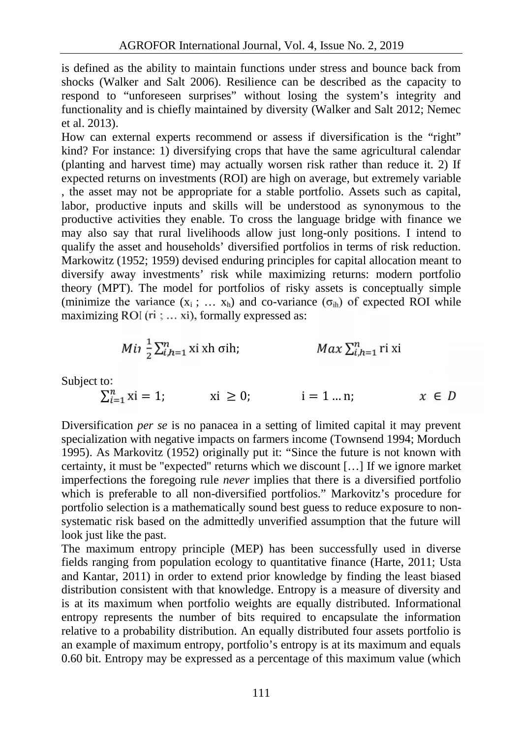is defined as the ability to maintain functions under stress and bounce back from shocks (Walker and Salt 2006). Resilience can be described as the capacity to respond to "unforeseen surprises" without losing the system's integrity and functionality and is chiefly maintained by diversity (Walker and Salt 2012; Nemec et al. 2013).

How can external experts recommend or assess if diversification is the "right" kind? For instance: 1) diversifying crops that have the same agricultural calendar (planting and harvest time) may actually worsen risk rather than reduce it. 2) If expected returns on investments (ROI) are high on average, but extremely variable , the asset may not be appropriate for a stable portfolio. Assets such as capital, labor, productive inputs and skills will be understood as synonymous to the productive activities they enable. To cross the language bridge with finance we may also say that rural livelihoods allow just long-only positions. I intend to qualify the asset and households' diversified portfolios in terms of risk reduction. Markowitz (1952; 1959) devised enduring principles for capital allocation meant to diversify away investments' risk while maximizing returns: modern portfolio theory (MPT). The model for portfolios of risky assets is conceptually simple (minimize the variance  $(x_i; \ldots, x_h)$  and co-variance  $(\sigma_{ih})$  of expected ROI while maximizing ROI (ri ; ... xi), formally expressed as:

$$
Mi \frac{1}{2} \sum_{i,h=1}^n x_i x_h \text{ of } h;
$$
 
$$
Max \sum_{i,h=1}^n r_i x_i
$$

Subject to:

$$
\sum_{i=1}^{n} x i = 1; \quad x i \ge 0; \quad i = 1 ... n; \quad x \in D
$$

Diversification *per se* is no panacea in a setting of limited capital it may prevent specialization with negative impacts on farmers income (Townsend 1994; Morduch 1995). As Markovitz (1952) originally put it: "Since the future is not known with certainty, it must be "expected" returns which we discount […] If we ignore market imperfections the foregoing rule *never* implies that there is a diversified portfolio which is preferable to all non-diversified portfolios." Markovitz's procedure for portfolio selection is a mathematically sound best guess to reduce exposure to non systematic risk based on the admittedly unverified assumption that the future will look just like the past.

The maximum entropy principle (MEP) has been successfully used in diverse fields ranging from population ecology to quantitative finance (Harte, 2011; Usta and Kantar, 2011) in order to extend prior knowledge by finding the least biased distribution consistent with that knowledge. Entropy is a measure of diversity and is at its maximum when portfolio weights are equally distributed. Informational entropy represents the number of bits required to encapsulate the information relative to a probability distribution. An equally distributed four assets portfolio is an example of maximum entropy, portfolio's entropy is at its maximum and equals 0.60 bit. Entropy may be expressed as a percentage of this maximum value (which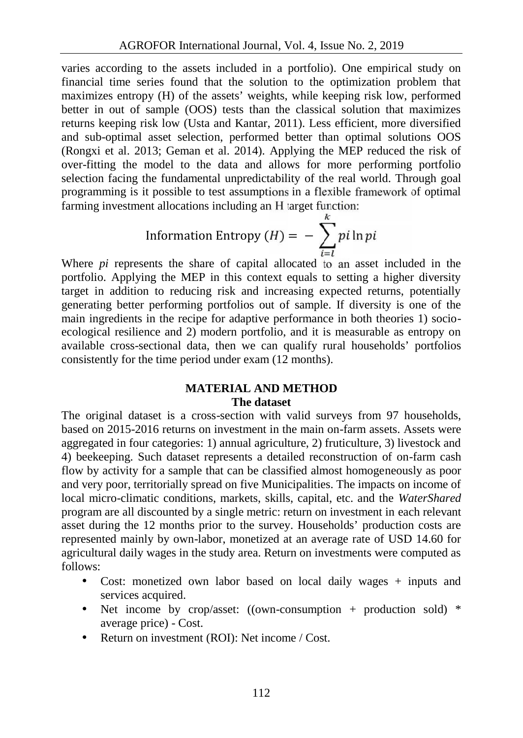varies according to the assets included in a portfolio). One empirical study on financial time series found that the solution to the optimization problem that maximizes entropy (H) of the assets' weights, while keeping risk low, performed better in out of sample (OOS) tests than the classical solution that maximizes returns keeping risk low (Usta and Kantar, 2011). Less efficient, more diversified and sub-optimal asset selection, performed better than optimal solutions OOS (Rongxi et al. 2013; Geman et al. 2014). Applying the MEP reduced the risk of over-fitting the model to the data and allows for more performing portfolio selection facing the fundamental unpredictability of the real world. Through goal programming is it possible to test assumptions in a flexible framework of optimal farming investment allocations including an H target function:

Information Entropy 
$$
(H) = -\sum_{i=1}^{k} p_i \ln p_i
$$

Where *pi* represents the share of capital allocated to an asset included in the portfolio. Applying the MEP in this context equals to setting a higher diversity target in addition to reducing risk and increasing expected returns, potentially generating better performing portfolios out of sample. If diversity is one of the main ingredients in the recipe for adaptive performance in both theories 1) socio ecological resilience and 2) modern portfolio, and it is measurable as entropy on available cross-sectional data, then we can qualify rural households' portfolios consistently for the time period under exam (12 months).

### **MATERIAL AND METHOD The dataset**

The original dataset is a cross-section with valid surveys from 97 households, based on 2015-2016 returns on investment in the main on-farm assets. Assets were aggregated in four categories: 1) annual agriculture, 2) fruticulture, 3) livestock and 4) beekeeping. Such dataset represents a detailed reconstruction of on-farm cash flow by activity for a sample that can be classified almost homogeneously as poor and very poor, territorially spread on five Municipalities. The impacts on income of local micro-climatic conditions, markets, skills, capital, etc. and the *WaterShared* program are all discounted by a single metric: return on investment in each relevant asset during the 12 months prior to the survey. Households' production costs are represented mainly by own-labor, monetized at an average rate of USD 14.60 for agricultural daily wages in the study area. Return on investments were computed as follows:

- Cost: monetized own labor based on local daily wages + inputs and services acquired.
- Net income by crop/asset: ((own-consumption + production sold) \* average price) - Cost.
- Return on investment (ROI): Net income / Cost.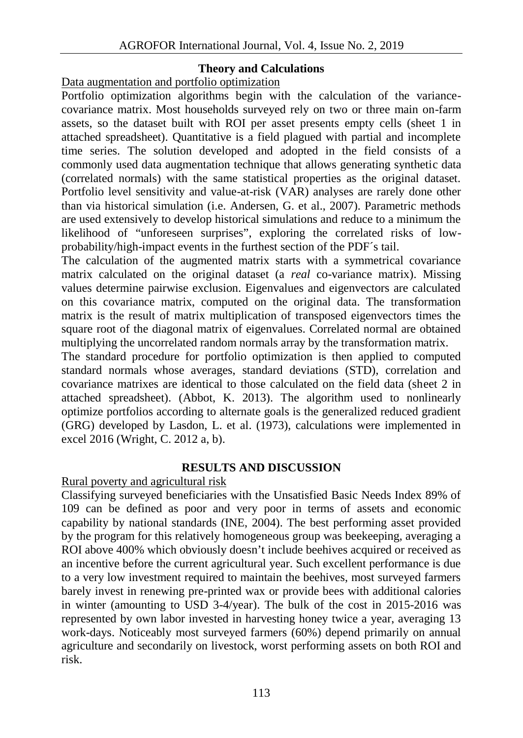### **Theory and Calculations**

Data augmentation and portfolio optimization

Portfolio optimization algorithms begin with the calculation of the variance covariance matrix. Most households surveyed rely on two or three main on-farm assets, so the dataset built with ROI per asset presents empty cells (sheet 1 in attached spreadsheet). Quantitative is a field plagued with partial and incomplete time series. The solution developed and adopted in the field consists of a commonly used data augmentation technique that allows generating synthetic data (correlated normals) with the same statistical properties as the original dataset. Portfolio level sensitivity and value-at-risk (VAR) analyses are rarely done other than via historical simulation (i.e. Andersen, G. et al., 2007). Parametric methods are used extensively to develop historical simulations and reduce to a minimum the likelihood of "unforeseen surprises", exploring the correlated risks of low probability/high-impact events in the furthest section of the PDF´s tail.

The calculation of the augmented matrix starts with a symmetrical covariance matrix calculated on the original dataset (a *real* co-variance matrix). Missing values determine pairwise exclusion. Eigenvalues and eigenvectors are calculated on this covariance matrix, computed on the original data. The transformation matrix is the result of matrix multiplication of transposed eigenvectors times the square root of the diagonal matrix of eigenvalues. Correlated normal are obtained multiplying the uncorrelated random normals array by the transformation matrix.

The standard procedure for portfolio optimization is then applied to computed standard normals whose averages, standard deviations (STD), correlation and covariance matrixes are identical to those calculated on the field data (sheet 2 in attached spreadsheet). (Abbot, K. 2013). The algorithm used to nonlinearly optimize portfolios according to alternate goals is the generalized reduced gradient (GRG) developed by Lasdon, L. et al. (1973), calculations were implemented in excel 2016 (Wright, C. 2012 a, b).

## **RESULTS AND DISCUSSION**

Rural poverty and agricultural risk

Classifying surveyed beneficiaries with the Unsatisfied Basic Needs Index 89% of 109 can be defined as poor and very poor in terms of assets and economic capability by national standards (INE, 2004). The best performing asset provided by the program for this relatively homogeneous group was beekeeping, averaging a ROI above 400% which obviously doesn't include beehives acquired or received as an incentive before the current agricultural year. Such excellent performance is due to a very low investment required to maintain the beehives, most surveyed farmers barely invest in renewing pre-printed wax or provide bees with additional calories in winter (amounting to USD 3-4/year). The bulk of the cost in 2015-2016 was represented by own labor invested in harvesting honey twice a year, averaging 13 work-days. Noticeably most surveyed farmers (60%) depend primarily on annual agriculture and secondarily on livestock, worst performing assets on both ROI and risk.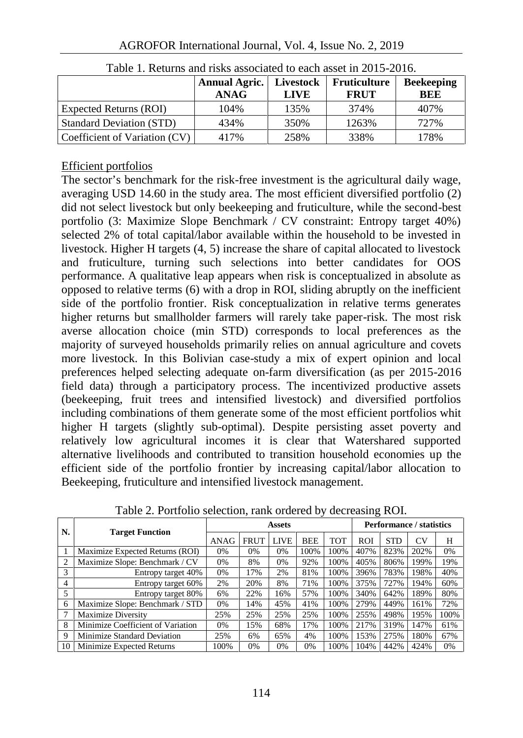|                                 | <b>Annual Agric.</b> Livestock<br><b>ANAG</b> | <b>LIVE</b> | Fruticulture<br><b>FRUT</b> | <b>Beekeeping</b><br>BEE |
|---------------------------------|-----------------------------------------------|-------------|-----------------------------|--------------------------|
| Expected Returns (ROI)          | 104%                                          | 135%        | 374%                        | 407%                     |
| <b>Standard Deviation (STD)</b> | 434%                                          | 350%        | 1263%                       | 727%                     |
| Coefficient of Variation (CV)   | 417%                                          | 258%        | 338%                        | 178%                     |

Table 1. Returns and risks associated to each asset in 2015-2016.

## Efficient portfolios

The sector's benchmark for the risk-free investment is the agricultural daily wage, averaging USD 14.60 in the study area. The most efficient diversified portfolio (2) did not select livestock but only beekeeping and fruticulture, while the second-best portfolio (3: Maximize Slope Benchmark / CV constraint: Entropy target 40%) selected 2% of total capital/labor available within the household to be invested in livestock. Higher H targets (4, 5) increase the share of capital allocated to livestock and fruticulture, turning such selections into better candidates for OOS performance. A qualitative leap appears when risk is conceptualized in absolute as opposed to relative terms (6) with a drop in ROI, sliding abruptly on the inefficient side of the portfolio frontier. Risk conceptualization in relative terms generates higher returns but smallholder farmers will rarely take paper-risk. The most risk averse allocation choice (min STD) corresponds to local preferences as the majority of surveyed households primarily relies on annual agriculture and covets more livestock. In this Bolivian case-study a mix of expert opinion and local preferences helped selecting adequate on-farm diversification (as per 2015-2016 field data) through a participatory process. The incentivized productive assets (beekeeping, fruit trees and intensified livestock) and diversified portfolios including combinations of them generate some of the most efficient portfolios whit higher H targets (slightly sub-optimal). Despite persisting asset poverty and relatively low agricultural incomes it is clear that Watershared supported alternative livelihoods and contributed to transition household economies up the efficient side of the portfolio frontier by increasing capital/labor allocation to Beekeeping, fruticulture and intensified livestock management.

| N.             | <b>Target Function</b>            | Assets |             |             |            | Performance / statistics |            |            |      |      |
|----------------|-----------------------------------|--------|-------------|-------------|------------|--------------------------|------------|------------|------|------|
|                |                                   | ANAG   | <b>FRUT</b> | <b>LIVE</b> | <b>BEE</b> | <b>TOT</b>               | <b>ROI</b> | <b>STD</b> | CV   | H    |
|                | Maximize Expected Returns (ROI)   | 0%     | 0%          | $0\%$       | 100%       | 100%                     | 407%       | 823%       | 202% | 0%   |
| $\overline{c}$ | Maximize Slope: Benchmark / CV    | 0%     | 8%          | $0\%$       | 92%        | 100%                     | 405%       | 806%       | 199% | 19%  |
| 3              | Entropy target 40%                | 0%     | 17%         | 2%          | 81%        | 100%                     | 396%       | 783%       | 198% | 40%  |
| 4              | Entropy target 60%                | 2%     | 20%         | 8%          | 71%        | 100%                     | 375%       | 727%       | 194% | 60%  |
| 5              | Entropy target 80%                | 6%     | 22%         | 16%         | 57%        | 100%                     | 340%       | 642%       | 189% | 80%  |
| 6              | Maximize Slope: Benchmark / STD   | 0%     | 14%         | 45%         | 41%        | 100%                     | 279%       | 449%       | 161% | 72%  |
| 7              | Maximize Diversity                | 25%    | 25%         | 25%         | 25%        | 100%                     | 255%       | 498%       | 195% | 100% |
| 8              | Minimize Coefficient of Variation | 0%     | 15%         | 68%         | 17%        | 100%                     | 217%       | 319%       | 147% | 61%  |
| 9              | Minimize Standard Deviation       | 25%    | 6%          | 65%         | 4%         | 100%                     | 153%       | 275%       | 180% | 67%  |
| 10             | Minimize Expected Returns         | 100%   | 0%          | $0\%$       | 0%         | 100%                     | 104%       | 442%       | 424% | 0%   |

Table 2. Portfolio selection, rank ordered by decreasing ROI.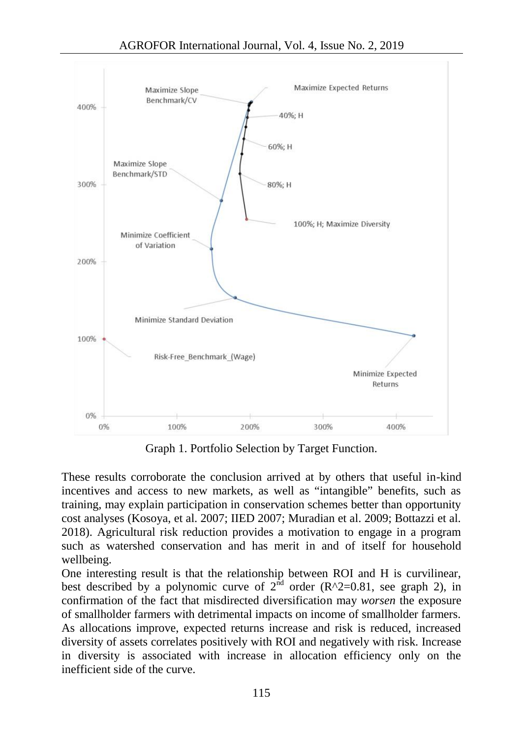

Graph 1. Portfolio Selection by Target Function.

These results corroborate the conclusion arrived at by others that useful in-kind incentives and access to new markets, as well as "intangible" benefits, such as training, may explain participation in conservation schemes better than opportunity cost analyses (Kosoya, et al. 2007; IIED 2007; Muradian et al. 2009; Bottazzi et al. 2018). Agricultural risk reduction provides a motivation to engage in a program such as watershed conservation and has merit in and of itself for household wellbeing.

One interesting result is that the relationship between ROI and H is curvilinear, best described by a polynomic curve of  $2^{\text{nd}}$  order (R^2=0.81, see graph 2), in confirmation of the fact that misdirected diversification may *worsen* the exposure of smallholder farmers with detrimental impacts on income of smallholder farmers. As allocations improve, expected returns increase and risk is reduced, increased diversity of assets correlates positively with ROI and negatively with risk. Increase in diversity is associated with increase in allocation efficiency only on the inefficient side of the curve.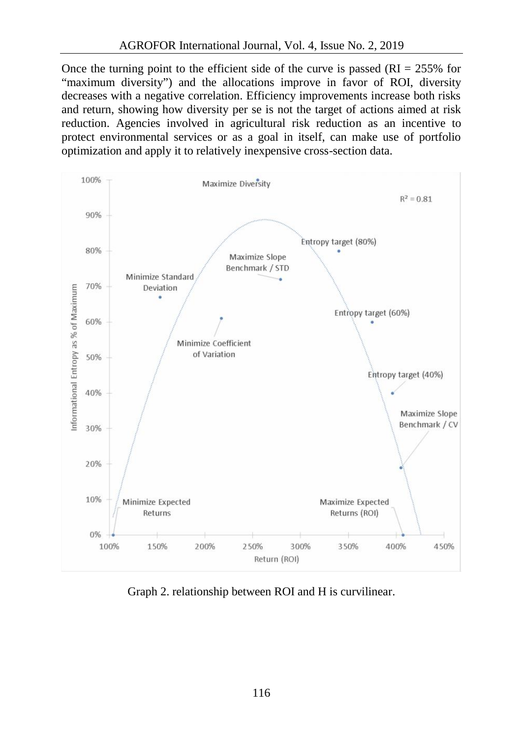Once the turning point to the efficient side of the curve is passed  $(RI = 255\%$  for "maximum diversity") and the allocations improve in favor of ROI, diversity decreases with a negative correlation. Efficiency improvements increase both risks and return, showing how diversity per se is not the target of actions aimed at risk reduction. Agencies involved in agricultural risk reduction as an incentive to protect environmental services or as a goal in itself, can make use of portfolio optimization and apply it to relatively inexpensive cross-section data.



Graph 2. relationship between ROI and H is curvilinear.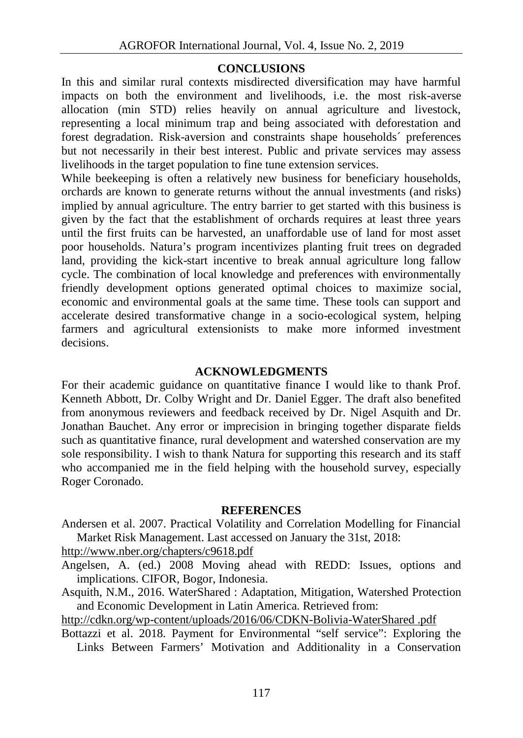#### **CONCLUSIONS**

In this and similar rural contexts misdirected diversification may have harmful impacts on both the environment and livelihoods, i.e. the most risk-averse allocation (min STD) relies heavily on annual agriculture and livestock, representing a local minimum trap and being associated with deforestation and forest degradation. Risk-aversion and constraints shape households´ preferences but not necessarily in their best interest. Public and private services may assess livelihoods in the target population to fine tune extension services.

While beekeeping is often a relatively new business for beneficiary households, orchards are known to generate returns without the annual investments (and risks) implied by annual agriculture. The entry barrier to get started with this business is given by the fact that the establishment of orchards requires at least three years until the first fruits can be harvested, an unaffordable use of land for most asset poor households. Natura's program incentivizes planting fruit trees on degraded land, providing the kick-start incentive to break annual agriculture long fallow cycle. The combination of local knowledge and preferences with environmentally friendly development options generated optimal choices to maximize social, economic and environmental goals at the same time. These tools can support and accelerate desired transformative change in a socio-ecological system, helping farmers and agricultural extensionists to make more informed investment decisions.

### **ACKNOWLEDGMENTS**

For their academic guidance on quantitative finance I would like to thank Prof. Kenneth Abbott, Dr. Colby Wright and Dr. Daniel Egger. The draft also benefited from anonymous reviewers and feedback received by Dr. Nigel Asquith and Dr. Jonathan Bauchet. Any error or imprecision in bringing together disparate fields such as quantitative finance, rural development and watershed conservation are my sole responsibility. I wish to thank Natura for supporting this research and its staff who accompanied me in the field helping with the household survey, especially Roger Coronado.

#### **REFERENCES**

Andersen et al. 2007. Practical Volatility and Correlation Modelling for Financial Market Risk Management. Last accessed on January the 31st, 2018:

http://www.nber.org/chapters/c9618.pdf

Angelsen, A. (ed.) 2008 Moving ahead with REDD: Issues, options and implications. CIFOR, Bogor, Indonesia.

Asquith, N.M., 2016. WaterShared : Adaptation, Mitigation, Watershed Protection and Economic Development in Latin America. Retrieved from:

http://cdkn.org/wp-content/uploads/2016/06/CDKN-Bolivia-WaterShared .pdf

Bottazzi et al. 2018. Payment for Environmental "self service": Exploring the Links Between Farmers' Motivation and Additionality in a Conservation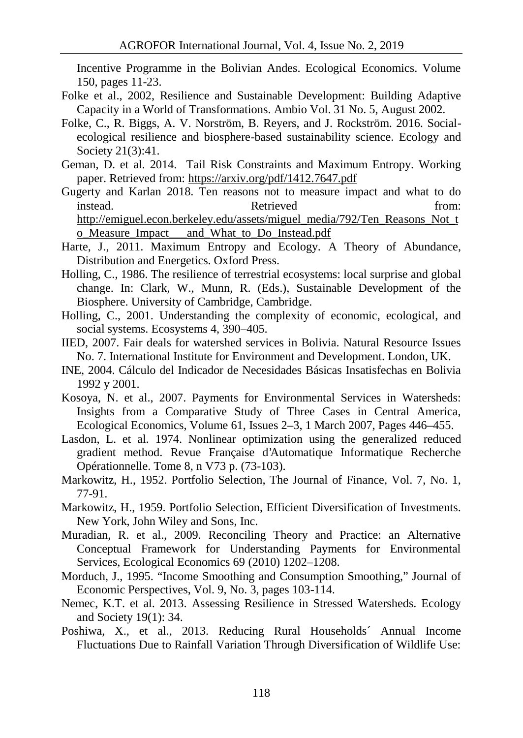Incentive Programme in the Bolivian Andes. Ecological Economics. Volume 150, pages 11-23.

- Folke et al., 2002, Resilience and Sustainable Development: Building Adaptive Capacity in a World of Transformations. Ambio Vol. 31 No. 5, August 2002.
- Folke, C., R. Biggs, A. V. Norström, B. Reyers, and J. Rockström. 2016. Social ecological resilience and biosphere-based sustainability science. Ecology and Society 21(3):41.
- Geman, D. et al. 2014. Tail Risk Constraints and Maximum Entropy. Working paper. Retrieved from: https://arxiv.org/pdf/1412.7647.pdf
- Gugerty and Karlan 2018. Ten reasons not to measure impact and what to do instead. Retrieved from: instead. Retrieved From: http://emiguel.econ.berkeley.edu/assets/miguel\_media/792/Ten\_Reasons\_Not\_t o\_Measure\_Impact\_\_\_and\_What\_to\_Do\_Instead.pdf
- Harte, J., 2011. Maximum Entropy and Ecology. A Theory of Abundance, Distribution and Energetics. Oxford Press.
- Holling, C., 1986. The resilience of terrestrial ecosystems: local surprise and global change. In: Clark, W., Munn, R. (Eds.), Sustainable Development of the Biosphere. University of Cambridge, Cambridge.
- Holling, C., 2001. Understanding the complexity of economic, ecological, and social systems. Ecosystems 4, 390–405.
- IIED, 2007. Fair deals for watershed services in Bolivia. Natural Resource Issues No. 7. International Institute for Environment and Development. London, UK.
- INE, 2004. Cálculo del Indicador de Necesidades Básicas Insatisfechas en Bolivia 1992 y 2001.
- Kosoya, N. et al., 2007. Payments for Environmental Services in Watersheds: Insights from a Comparative Study of Three Cases in Central America, Ecological Economics, Volume 61, Issues 2–3, 1 March 2007, Pages 446–455.
- Lasdon, L. et al. 1974. Nonlinear optimization using the generalized reduced gradient method. Revue Française d'Automatique Informatique Recherche Opérationnelle. Tome 8, n V73 p. (73-103).
- Markowitz, H., 1952. Portfolio Selection, The Journal of Finance, Vol. 7, No. 1, 77-91.
- Markowitz, H., 1959. Portfolio Selection, Efficient Diversification of Investments. New York, John Wiley and Sons, Inc.
- Muradian, R. et al., 2009. Reconciling Theory and Practice: an Alternative Conceptual Framework for Understanding Payments for Environmental Services, Ecological Economics 69 (2010) 1202–1208.
- Morduch, J., 1995. "Income Smoothing and Consumption Smoothing," Journal of Economic Perspectives, Vol. 9, No. 3, pages 103-114.
- Nemec, K.T. et al. 2013. Assessing Resilience in Stressed Watersheds. Ecology and Society 19(1): 34.
- Poshiwa, X., et al., 2013. Reducing Rural Households´ Annual Income Fluctuations Due to Rainfall Variation Through Diversification of Wildlife Use: